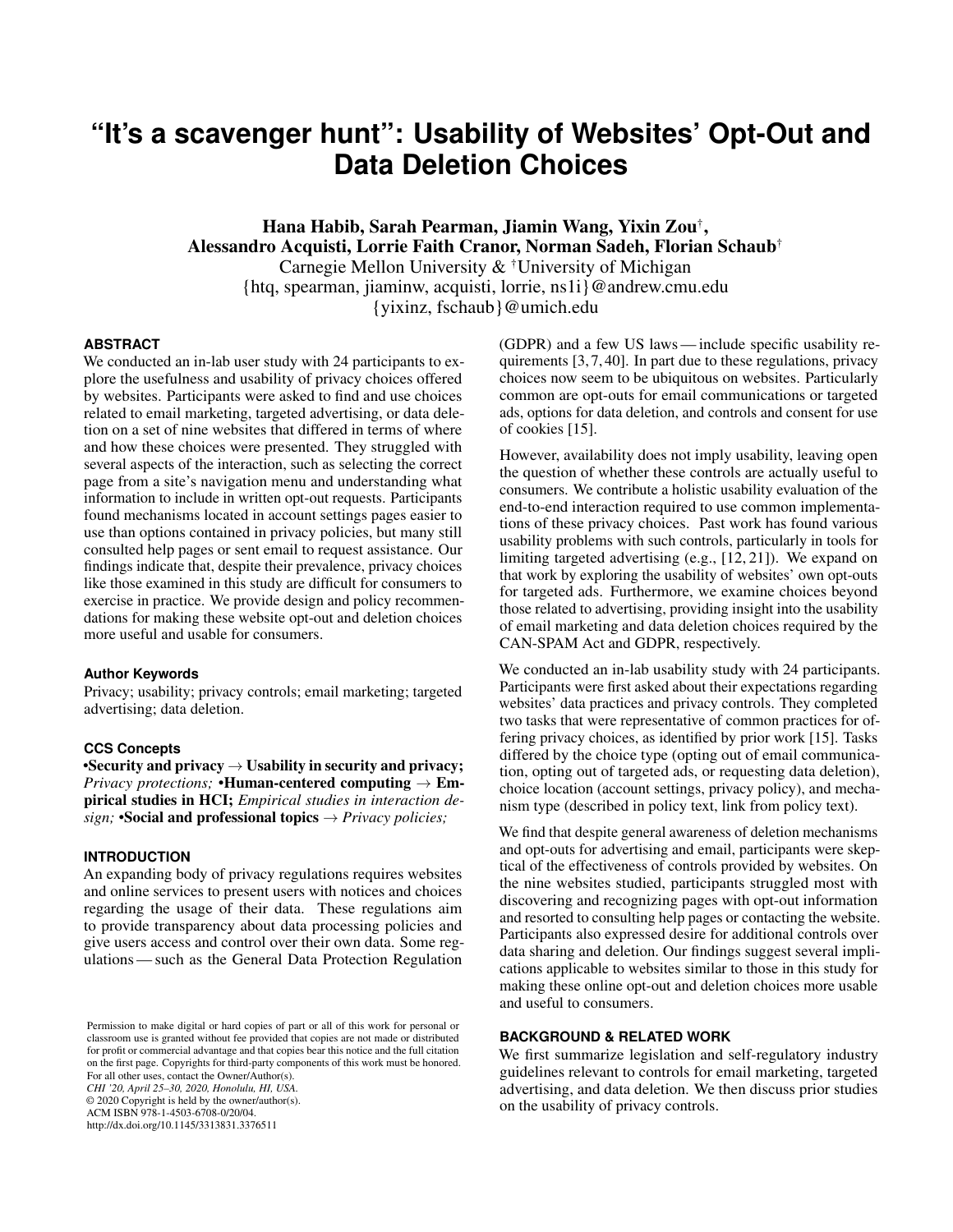# **"It's a scavenger hunt": Usability of Websites' Opt-Out and Data Deletion Choices**

Hana Habib, Sarah Pearman, Jiamin Wang, Yixin Zou† , Alessandro Acquisti, Lorrie Faith Cranor, Norman Sadeh, Florian Schaub† Carnegie Mellon University & †University of Michigan {htq, spearman, jiaminw, acquisti, lorrie, ns1i}@andrew.cmu.edu {yixinz, fschaub}@umich.edu

## **ABSTRACT**

We conducted an in-lab user study with 24 participants to explore the usefulness and usability of privacy choices offered by websites. Participants were asked to find and use choices related to email marketing, targeted advertising, or data deletion on a set of nine websites that differed in terms of where and how these choices were presented. They struggled with several aspects of the interaction, such as selecting the correct page from a site's navigation menu and understanding what information to include in written opt-out requests. Participants found mechanisms located in account settings pages easier to use than options contained in privacy policies, but many still consulted help pages or sent email to request assistance. Our findings indicate that, despite their prevalence, privacy choices like those examined in this study are difficult for consumers to exercise in practice. We provide design and policy recommendations for making these website opt-out and deletion choices more useful and usable for consumers.

## **Author Keywords**

Privacy; usability; privacy controls; email marketing; targeted advertising; data deletion.

#### **CCS Concepts**

•Security and privacy  $\rightarrow$  Usability in security and privacy; *Privacy protections;* •Human-centered computing  $\rightarrow$  Empirical studies in HCI; *Empirical studies in interaction design;* •Social and professional topics  $\rightarrow$  *Privacy policies;* 

#### **INTRODUCTION**

An expanding body of privacy regulations requires websites and online services to present users with notices and choices regarding the usage of their data. These regulations aim to provide transparency about data processing policies and give users access and control over their own data. Some regulations— such as the General Data Protection Regulation

Permission to make digital or hard copies of part or all of this work for personal or classroom use is granted without fee provided that copies are not made or distributed for profit or commercial advantage and that copies bear this notice and the full citation on the first page. Copyrights for third-party components of this work must be honored. For all other uses, contact the Owner/Author(s). *CHI '20, April 25–30, 2020, Honolulu, HI, USA.* © 2020 Copyright is held by the owner/author(s). ACM ISBN 978-1-4503-6708-0/20/04.

http://dx.doi.org/10.1145/3313831.3376511

(GDPR) and a few US laws— include specific usability requirements [\[3,](#page-10-0) [7,](#page-10-1) [40\]](#page-11-0). In part due to these regulations, privacy choices now seem to be ubiquitous on websites. Particularly common are opt-outs for email communications or targeted ads, options for data deletion, and controls and consent for use of cookies [\[15\]](#page-10-2).

However, availability does not imply usability, leaving open the question of whether these controls are actually useful to consumers. We contribute a holistic usability evaluation of the end-to-end interaction required to use common implementations of these privacy choices. Past work has found various usability problems with such controls, particularly in tools for limiting targeted advertising (e.g., [\[12,](#page-10-3) [21\]](#page-10-4)). We expand on that work by exploring the usability of websites' own opt-outs for targeted ads. Furthermore, we examine choices beyond those related to advertising, providing insight into the usability of email marketing and data deletion choices required by the CAN-SPAM Act and GDPR, respectively.

We conducted an in-lab usability study with 24 participants. Participants were first asked about their expectations regarding websites' data practices and privacy controls. They completed two tasks that were representative of common practices for offering privacy choices, as identified by prior work [\[15\]](#page-10-2). Tasks differed by the choice type (opting out of email communication, opting out of targeted ads, or requesting data deletion), choice location (account settings, privacy policy), and mechanism type (described in policy text, link from policy text).

We find that despite general awareness of deletion mechanisms and opt-outs for advertising and email, participants were skeptical of the effectiveness of controls provided by websites. On the nine websites studied, participants struggled most with discovering and recognizing pages with opt-out information and resorted to consulting help pages or contacting the website. Participants also expressed desire for additional controls over data sharing and deletion. Our findings suggest several implications applicable to websites similar to those in this study for making these online opt-out and deletion choices more usable and useful to consumers.

# **BACKGROUND & RELATED WORK**

We first summarize legislation and self-regulatory industry guidelines relevant to controls for email marketing, targeted advertising, and data deletion. We then discuss prior studies on the usability of privacy controls.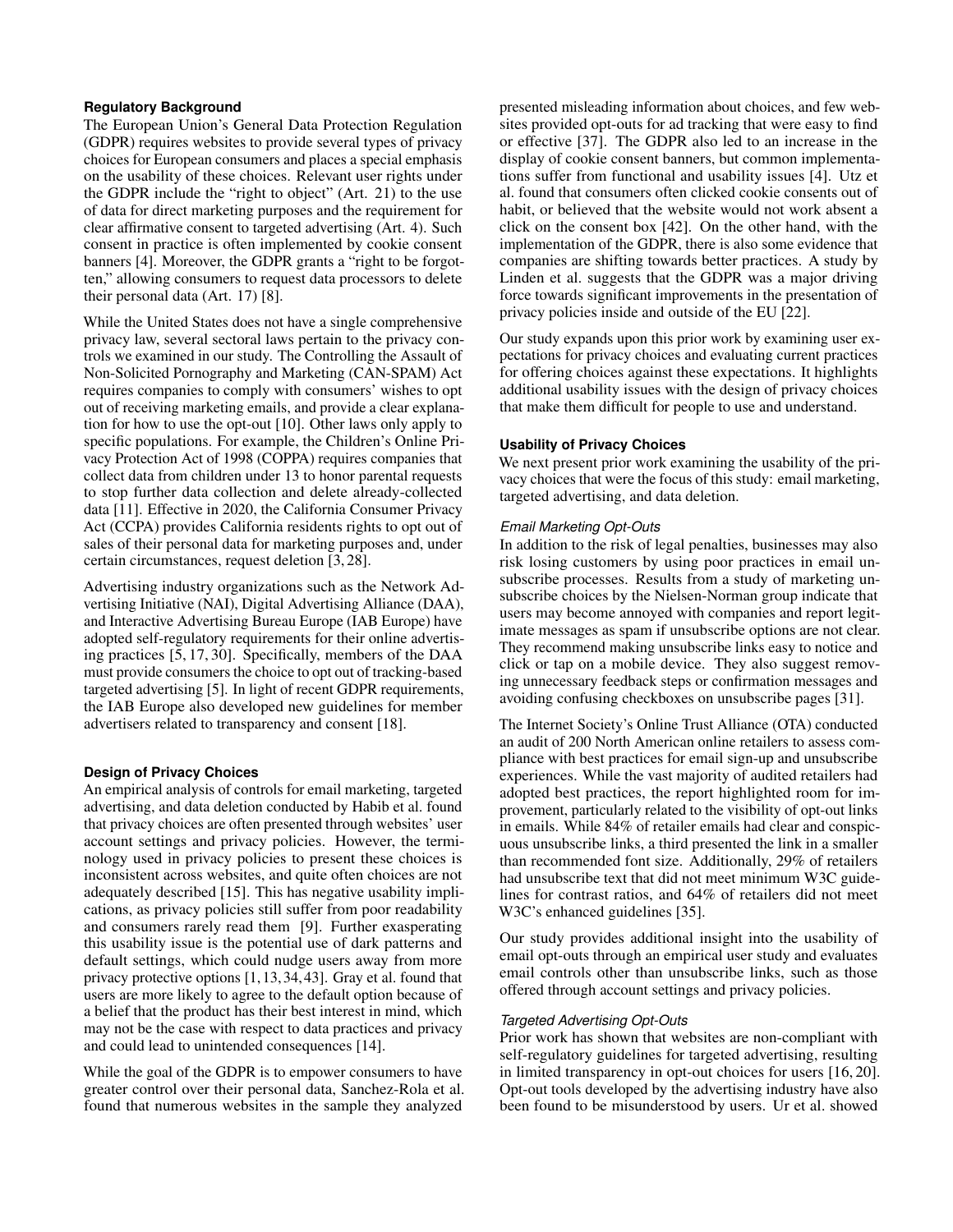## **Regulatory Background**

The European Union's General Data Protection Regulation (GDPR) requires websites to provide several types of privacy choices for European consumers and places a special emphasis on the usability of these choices. Relevant user rights under the GDPR include the "right to object" (Art. 21) to the use of data for direct marketing purposes and the requirement for clear affirmative consent to targeted advertising (Art. 4). Such consent in practice is often implemented by cookie consent banners [\[4\]](#page-10-5). Moreover, the GDPR grants a "right to be forgotten," allowing consumers to request data processors to delete their personal data (Art. 17) [\[8\]](#page-10-6).

While the United States does not have a single comprehensive privacy law, several sectoral laws pertain to the privacy controls we examined in our study. The Controlling the Assault of Non-Solicited Pornography and Marketing (CAN-SPAM) Act requires companies to comply with consumers' wishes to opt out of receiving marketing emails, and provide a clear explanation for how to use the opt-out [\[10\]](#page-10-7). Other laws only apply to specific populations. For example, the Children's Online Privacy Protection Act of 1998 (COPPA) requires companies that collect data from children under 13 to honor parental requests to stop further data collection and delete already-collected data [\[11\]](#page-10-8). Effective in 2020, the California Consumer Privacy Act (CCPA) provides California residents rights to opt out of sales of their personal data for marketing purposes and, under certain circumstances, request deletion [\[3,](#page-10-0) [28\]](#page-11-1).

Advertising industry organizations such as the Network Advertising Initiative (NAI), Digital Advertising Alliance (DAA), and Interactive Advertising Bureau Europe (IAB Europe) have adopted self-regulatory requirements for their online advertising practices [\[5,](#page-10-9) [17,](#page-10-10) [30\]](#page-11-2). Specifically, members of the DAA must provide consumers the choice to opt out of tracking-based targeted advertising [\[5\]](#page-10-9). In light of recent GDPR requirements, the IAB Europe also developed new guidelines for member advertisers related to transparency and consent [\[18\]](#page-10-11).

## **Design of Privacy Choices**

An empirical analysis of controls for email marketing, targeted advertising, and data deletion conducted by Habib et al. found that privacy choices are often presented through websites' user account settings and privacy policies. However, the terminology used in privacy policies to present these choices is inconsistent across websites, and quite often choices are not adequately described [\[15\]](#page-10-2). This has negative usability implications, as privacy policies still suffer from poor readability and consumers rarely read them [\[9\]](#page-10-12). Further exasperating this usability issue is the potential use of dark patterns and default settings, which could nudge users away from more privacy protective options [\[1,](#page-10-13)[13,](#page-10-14)[34,](#page-11-3)[43\]](#page-11-4). Gray et al. found that users are more likely to agree to the default option because of a belief that the product has their best interest in mind, which may not be the case with respect to data practices and privacy and could lead to unintended consequences [\[14\]](#page-10-15).

While the goal of the GDPR is to empower consumers to have greater control over their personal data, Sanchez-Rola et al. found that numerous websites in the sample they analyzed

presented misleading information about choices, and few websites provided opt-outs for ad tracking that were easy to find or effective [\[37\]](#page-11-5). The GDPR also led to an increase in the display of cookie consent banners, but common implementations suffer from functional and usability issues [\[4\]](#page-10-5). Utz et al. found that consumers often clicked cookie consents out of habit, or believed that the website would not work absent a click on the consent box [\[42\]](#page-11-6). On the other hand, with the implementation of the GDPR, there is also some evidence that companies are shifting towards better practices. A study by Linden et al. suggests that the GDPR was a major driving force towards significant improvements in the presentation of privacy policies inside and outside of the EU [\[22\]](#page-10-16).

Our study expands upon this prior work by examining user expectations for privacy choices and evaluating current practices for offering choices against these expectations. It highlights additional usability issues with the design of privacy choices that make them difficult for people to use and understand.

## **Usability of Privacy Choices**

We next present prior work examining the usability of the privacy choices that were the focus of this study: email marketing, targeted advertising, and data deletion.

#### *Email Marketing Opt-Outs*

In addition to the risk of legal penalties, businesses may also risk losing customers by using poor practices in email unsubscribe processes. Results from a study of marketing unsubscribe choices by the Nielsen-Norman group indicate that users may become annoyed with companies and report legitimate messages as spam if unsubscribe options are not clear. They recommend making unsubscribe links easy to notice and click or tap on a mobile device. They also suggest removing unnecessary feedback steps or confirmation messages and avoiding confusing checkboxes on unsubscribe pages [\[31\]](#page-11-7).

The Internet Society's Online Trust Alliance (OTA) conducted an audit of 200 North American online retailers to assess compliance with best practices for email sign-up and unsubscribe experiences. While the vast majority of audited retailers had adopted best practices, the report highlighted room for improvement, particularly related to the visibility of opt-out links in emails. While 84% of retailer emails had clear and conspicuous unsubscribe links, a third presented the link in a smaller than recommended font size. Additionally, 29% of retailers had unsubscribe text that did not meet minimum W3C guidelines for contrast ratios, and 64% of retailers did not meet W3C's enhanced guidelines [\[35\]](#page-11-8).

Our study provides additional insight into the usability of email opt-outs through an empirical user study and evaluates email controls other than unsubscribe links, such as those offered through account settings and privacy policies.

#### *Targeted Advertising Opt-Outs*

Prior work has shown that websites are non-compliant with self-regulatory guidelines for targeted advertising, resulting in limited transparency in opt-out choices for users [\[16,](#page-10-17) [20\]](#page-10-18). Opt-out tools developed by the advertising industry have also been found to be misunderstood by users. Ur et al. showed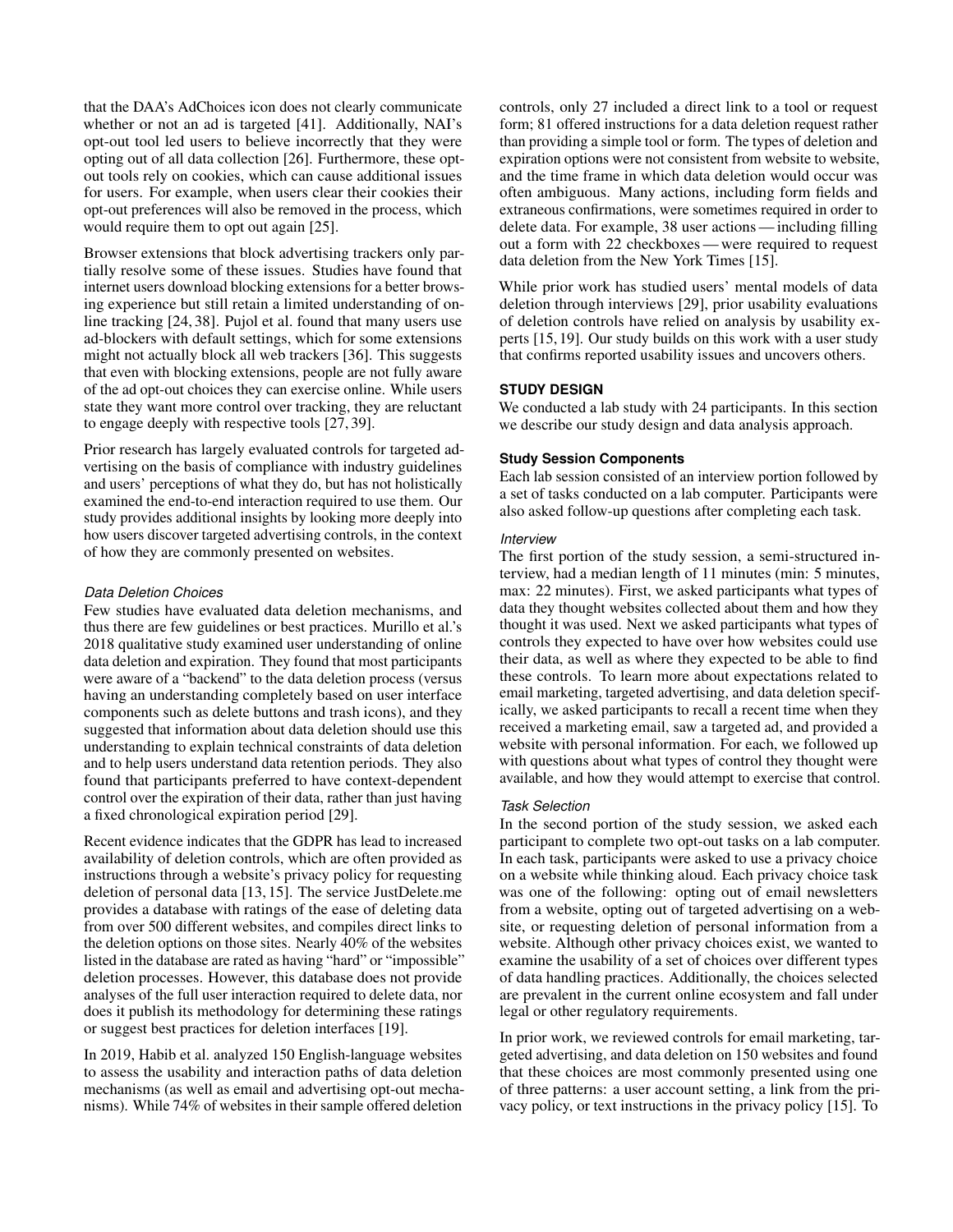that the DAA's AdChoices icon does not clearly communicate whether or not an ad is targeted [\[41\]](#page-11-9). Additionally, NAI's opt-out tool led users to believe incorrectly that they were opting out of all data collection [\[26\]](#page-11-10). Furthermore, these optout tools rely on cookies, which can cause additional issues for users. For example, when users clear their cookies their opt-out preferences will also be removed in the process, which would require them to opt out again [\[25\]](#page-11-11).

Browser extensions that block advertising trackers only partially resolve some of these issues. Studies have found that internet users download blocking extensions for a better browsing experience but still retain a limited understanding of online tracking [\[24,](#page-11-12) [38\]](#page-11-13). Pujol et al. found that many users use ad-blockers with default settings, which for some extensions might not actually block all web trackers [\[36\]](#page-11-14). This suggests that even with blocking extensions, people are not fully aware of the ad opt-out choices they can exercise online. While users state they want more control over tracking, they are reluctant to engage deeply with respective tools [\[27,](#page-11-15) [39\]](#page-11-16).

Prior research has largely evaluated controls for targeted advertising on the basis of compliance with industry guidelines and users' perceptions of what they do, but has not holistically examined the end-to-end interaction required to use them. Our study provides additional insights by looking more deeply into how users discover targeted advertising controls, in the context of how they are commonly presented on websites.

## *Data Deletion Choices*

Few studies have evaluated data deletion mechanisms, and thus there are few guidelines or best practices. Murillo et al.'s 2018 qualitative study examined user understanding of online data deletion and expiration. They found that most participants were aware of a "backend" to the data deletion process (versus having an understanding completely based on user interface components such as delete buttons and trash icons), and they suggested that information about data deletion should use this understanding to explain technical constraints of data deletion and to help users understand data retention periods. They also found that participants preferred to have context-dependent control over the expiration of their data, rather than just having a fixed chronological expiration period [\[29\]](#page-11-17).

Recent evidence indicates that the GDPR has lead to increased availability of deletion controls, which are often provided as instructions through a website's privacy policy for requesting deletion of personal data [\[13,](#page-10-14) [15\]](#page-10-2). The service JustDelete.me provides a database with ratings of the ease of deleting data from over 500 different websites, and compiles direct links to the deletion options on those sites. Nearly 40% of the websites listed in the database are rated as having "hard" or "impossible" deletion processes. However, this database does not provide analyses of the full user interaction required to delete data, nor does it publish its methodology for determining these ratings or suggest best practices for deletion interfaces [\[19\]](#page-10-19).

In 2019, Habib et al. analyzed 150 English-language websites to assess the usability and interaction paths of data deletion mechanisms (as well as email and advertising opt-out mechanisms). While 74% of websites in their sample offered deletion

controls, only 27 included a direct link to a tool or request form; 81 offered instructions for a data deletion request rather than providing a simple tool or form. The types of deletion and expiration options were not consistent from website to website, and the time frame in which data deletion would occur was often ambiguous. Many actions, including form fields and extraneous confirmations, were sometimes required in order to delete data. For example, 38 user actions— including filling out a form with 22 checkboxes— were required to request data deletion from the New York Times [\[15\]](#page-10-2).

While prior work has studied users' mental models of data deletion through interviews [\[29\]](#page-11-17), prior usability evaluations of deletion controls have relied on analysis by usability experts [\[15,](#page-10-2) [19\]](#page-10-19). Our study builds on this work with a user study that confirms reported usability issues and uncovers others.

# **STUDY DESIGN**

We conducted a lab study with 24 participants. In this section we describe our study design and data analysis approach.

## **Study Session Components**

Each lab session consisted of an interview portion followed by a set of tasks conducted on a lab computer. Participants were also asked follow-up questions after completing each task.

## *Interview*

The first portion of the study session, a semi-structured interview, had a median length of 11 minutes (min: 5 minutes, max: 22 minutes). First, we asked participants what types of data they thought websites collected about them and how they thought it was used. Next we asked participants what types of controls they expected to have over how websites could use their data, as well as where they expected to be able to find these controls. To learn more about expectations related to email marketing, targeted advertising, and data deletion specifically, we asked participants to recall a recent time when they received a marketing email, saw a targeted ad, and provided a website with personal information. For each, we followed up with questions about what types of control they thought were available, and how they would attempt to exercise that control.

## *Task Selection*

In the second portion of the study session, we asked each participant to complete two opt-out tasks on a lab computer. In each task, participants were asked to use a privacy choice on a website while thinking aloud. Each privacy choice task was one of the following: opting out of email newsletters from a website, opting out of targeted advertising on a website, or requesting deletion of personal information from a website. Although other privacy choices exist, we wanted to examine the usability of a set of choices over different types of data handling practices. Additionally, the choices selected are prevalent in the current online ecosystem and fall under legal or other regulatory requirements.

In prior work, we reviewed controls for email marketing, targeted advertising, and data deletion on 150 websites and found that these choices are most commonly presented using one of three patterns: a user account setting, a link from the privacy policy, or text instructions in the privacy policy [\[15\]](#page-10-2). To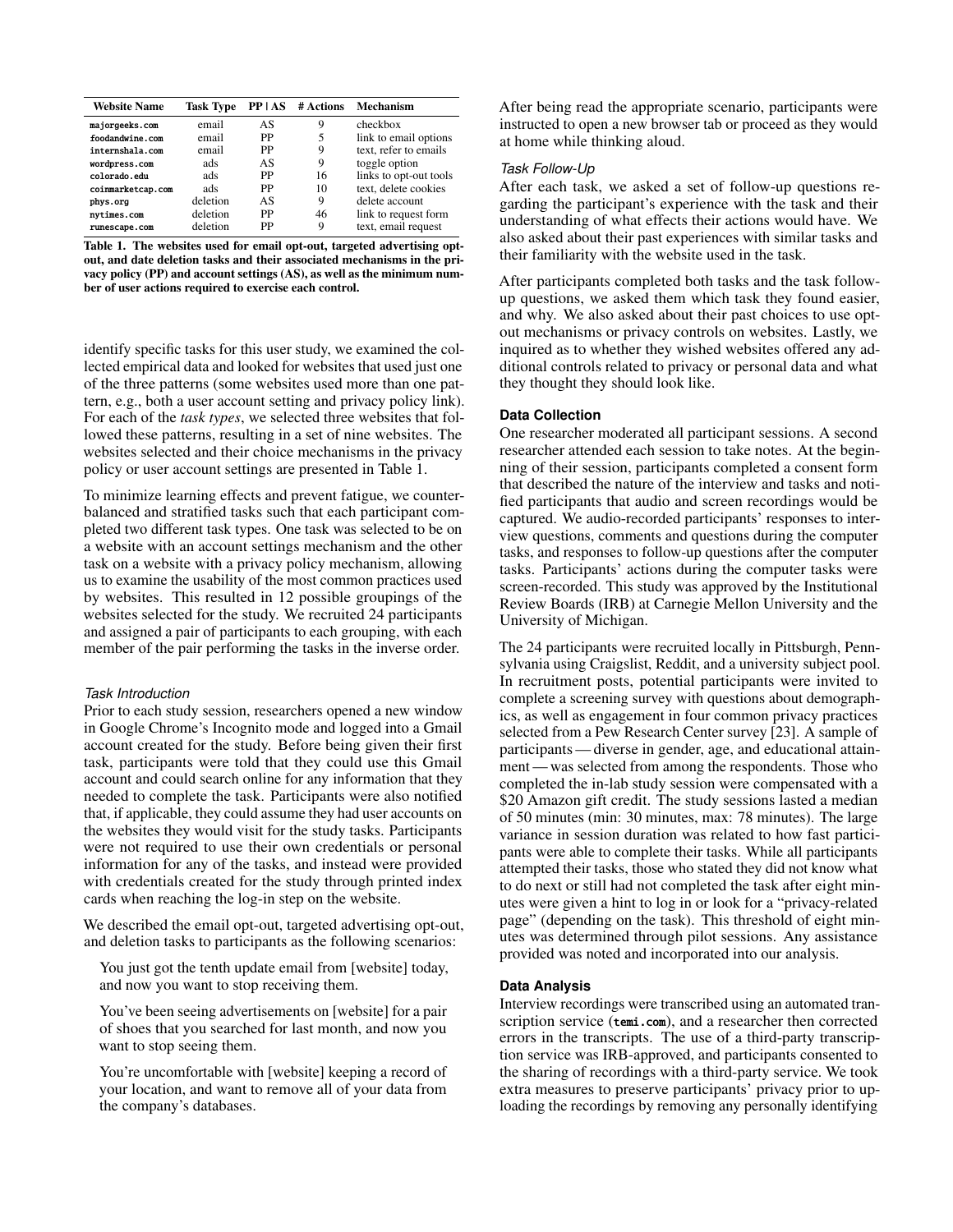| <b>Website Name</b> | <b>Task Type</b> |    | $PP AS$ # Actions | Mechanism              |
|---------------------|------------------|----|-------------------|------------------------|
| majorgeeks.com      | email            | AS | 9                 | checkbox               |
| foodandwine.com     | email            | PP |                   | link to email options  |
| internshala.com     | email            | PP | 9                 | text, refer to emails  |
| wordpress.com       | ads              | AS | 9                 | toggle option          |
| colorado.edu        | ads              | PP | 16                | links to opt-out tools |
| coinmarketcap.com   | ads              | PP | 10                | text, delete cookies   |
| phys.org            | deletion         | AS | 9                 | delete account         |
| nytimes.com         | deletion         | PP | 46                | link to request form   |
| runescape.com       | deletion         | PP | 9                 | text, email request    |

<span id="page-3-0"></span>Table 1. The websites used for email opt-out, targeted advertising optout, and date deletion tasks and their associated mechanisms in the privacy policy (PP) and account settings (AS), as well as the minimum number of user actions required to exercise each control.

identify specific tasks for this user study, we examined the collected empirical data and looked for websites that used just one of the three patterns (some websites used more than one pattern, e.g., both a user account setting and privacy policy link). For each of the *task types*, we selected three websites that followed these patterns, resulting in a set of nine websites. The websites selected and their choice mechanisms in the privacy policy or user account settings are presented in Table [1.](#page-3-0)

To minimize learning effects and prevent fatigue, we counterbalanced and stratified tasks such that each participant completed two different task types. One task was selected to be on a website with an account settings mechanism and the other task on a website with a privacy policy mechanism, allowing us to examine the usability of the most common practices used by websites. This resulted in 12 possible groupings of the websites selected for the study. We recruited 24 participants and assigned a pair of participants to each grouping, with each member of the pair performing the tasks in the inverse order.

#### *Task Introduction*

Prior to each study session, researchers opened a new window in Google Chrome's Incognito mode and logged into a Gmail account created for the study. Before being given their first task, participants were told that they could use this Gmail account and could search online for any information that they needed to complete the task. Participants were also notified that, if applicable, they could assume they had user accounts on the websites they would visit for the study tasks. Participants were not required to use their own credentials or personal information for any of the tasks, and instead were provided with credentials created for the study through printed index cards when reaching the log-in step on the website.

We described the email opt-out, targeted advertising opt-out, and deletion tasks to participants as the following scenarios:

You just got the tenth update email from [website] today, and now you want to stop receiving them.

You've been seeing advertisements on [website] for a pair of shoes that you searched for last month, and now you want to stop seeing them.

You're uncomfortable with [website] keeping a record of your location, and want to remove all of your data from the company's databases.

After being read the appropriate scenario, participants were instructed to open a new browser tab or proceed as they would at home while thinking aloud.

## *Task Follow-Up*

After each task, we asked a set of follow-up questions regarding the participant's experience with the task and their understanding of what effects their actions would have. We also asked about their past experiences with similar tasks and their familiarity with the website used in the task.

After participants completed both tasks and the task followup questions, we asked them which task they found easier, and why. We also asked about their past choices to use optout mechanisms or privacy controls on websites. Lastly, we inquired as to whether they wished websites offered any additional controls related to privacy or personal data and what they thought they should look like.

# **Data Collection**

One researcher moderated all participant sessions. A second researcher attended each session to take notes. At the beginning of their session, participants completed a consent form that described the nature of the interview and tasks and notified participants that audio and screen recordings would be captured. We audio-recorded participants' responses to interview questions, comments and questions during the computer tasks, and responses to follow-up questions after the computer tasks. Participants' actions during the computer tasks were screen-recorded. This study was approved by the Institutional Review Boards (IRB) at Carnegie Mellon University and the University of Michigan.

The 24 participants were recruited locally in Pittsburgh, Pennsylvania using Craigslist, Reddit, and a university subject pool. In recruitment posts, potential participants were invited to complete a screening survey with questions about demographics, as well as engagement in four common privacy practices selected from a Pew Research Center survey [\[23\]](#page-10-20). A sample of participants— diverse in gender, age, and educational attainment — was selected from among the respondents. Those who completed the in-lab study session were compensated with a \$20 Amazon gift credit. The study sessions lasted a median of 50 minutes (min: 30 minutes, max: 78 minutes). The large variance in session duration was related to how fast participants were able to complete their tasks. While all participants attempted their tasks, those who stated they did not know what to do next or still had not completed the task after eight minutes were given a hint to log in or look for a "privacy-related page" (depending on the task). This threshold of eight minutes was determined through pilot sessions. Any assistance provided was noted and incorporated into our analysis.

# **Data Analysis**

Interview recordings were transcribed using an automated transcription service (<temi.com>), and a researcher then corrected errors in the transcripts. The use of a third-party transcription service was IRB-approved, and participants consented to the sharing of recordings with a third-party service. We took extra measures to preserve participants' privacy prior to uploading the recordings by removing any personally identifying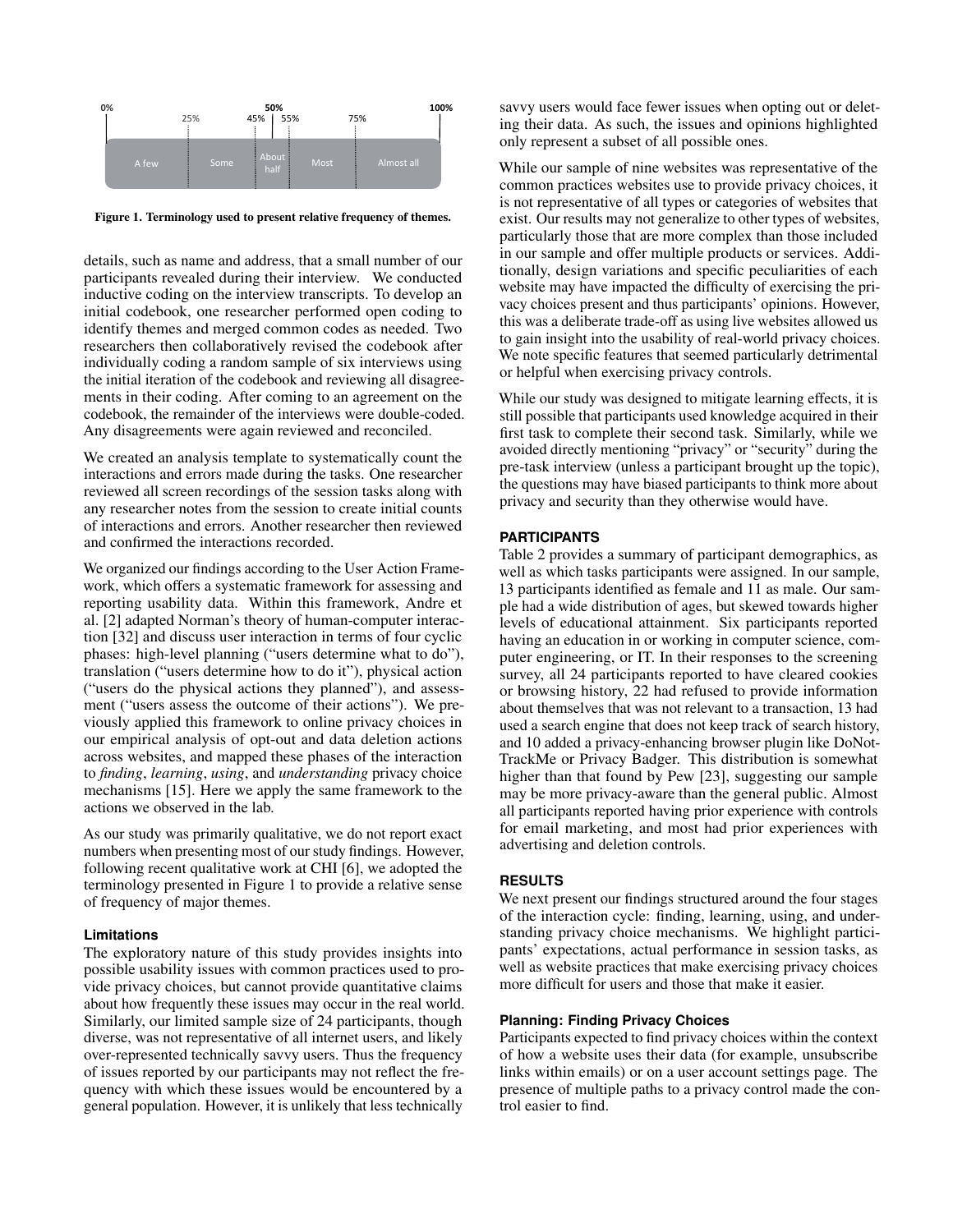

<span id="page-4-0"></span>Figure 1. Terminology used to present relative frequency of themes.

details, such as name and address, that a small number of our participants revealed during their interview. We conducted inductive coding on the interview transcripts. To develop an initial codebook, one researcher performed open coding to identify themes and merged common codes as needed. Two researchers then collaboratively revised the codebook after individually coding a random sample of six interviews using the initial iteration of the codebook and reviewing all disagreements in their coding. After coming to an agreement on the codebook, the remainder of the interviews were double-coded. Any disagreements were again reviewed and reconciled.

We created an analysis template to systematically count the interactions and errors made during the tasks. One researcher reviewed all screen recordings of the session tasks along with any researcher notes from the session to create initial counts of interactions and errors. Another researcher then reviewed and confirmed the interactions recorded.

We organized our findings according to the User Action Framework, which offers a systematic framework for assessing and reporting usability data. Within this framework, Andre et al. [\[2\]](#page-10-21) adapted Norman's theory of human-computer interaction [\[32\]](#page-11-18) and discuss user interaction in terms of four cyclic phases: high-level planning ("users determine what to do"), translation ("users determine how to do it"), physical action ("users do the physical actions they planned"), and assessment ("users assess the outcome of their actions"). We previously applied this framework to online privacy choices in our empirical analysis of opt-out and data deletion actions across websites, and mapped these phases of the interaction to *finding*, *learning*, *using*, and *understanding* privacy choice mechanisms [\[15\]](#page-10-2). Here we apply the same framework to the actions we observed in the lab.

As our study was primarily qualitative, we do not report exact numbers when presenting most of our study findings. However, following recent qualitative work at CHI [\[6\]](#page-10-22), we adopted the terminology presented in Figure [1](#page-4-0) to provide a relative sense of frequency of major themes.

#### **Limitations**

The exploratory nature of this study provides insights into possible usability issues with common practices used to provide privacy choices, but cannot provide quantitative claims about how frequently these issues may occur in the real world. Similarly, our limited sample size of 24 participants, though diverse, was not representative of all internet users, and likely over-represented technically savvy users. Thus the frequency of issues reported by our participants may not reflect the frequency with which these issues would be encountered by a general population. However, it is unlikely that less technically

savvy users would face fewer issues when opting out or deleting their data. As such, the issues and opinions highlighted only represent a subset of all possible ones.

While our sample of nine websites was representative of the common practices websites use to provide privacy choices, it is not representative of all types or categories of websites that exist. Our results may not generalize to other types of websites, particularly those that are more complex than those included in our sample and offer multiple products or services. Additionally, design variations and specific peculiarities of each website may have impacted the difficulty of exercising the privacy choices present and thus participants' opinions. However, this was a deliberate trade-off as using live websites allowed us to gain insight into the usability of real-world privacy choices. We note specific features that seemed particularly detrimental or helpful when exercising privacy controls.

While our study was designed to mitigate learning effects, it is still possible that participants used knowledge acquired in their first task to complete their second task. Similarly, while we avoided directly mentioning "privacy" or "security" during the pre-task interview (unless a participant brought up the topic), the questions may have biased participants to think more about privacy and security than they otherwise would have.

## **PARTICIPANTS**

Table [2](#page-5-0) provides a summary of participant demographics, as well as which tasks participants were assigned. In our sample, 13 participants identified as female and 11 as male. Our sample had a wide distribution of ages, but skewed towards higher levels of educational attainment. Six participants reported having an education in or working in computer science, computer engineering, or IT. In their responses to the screening survey, all 24 participants reported to have cleared cookies or browsing history, 22 had refused to provide information about themselves that was not relevant to a transaction, 13 had used a search engine that does not keep track of search history, and 10 added a privacy-enhancing browser plugin like DoNot-TrackMe or Privacy Badger. This distribution is somewhat higher than that found by Pew [\[23\]](#page-10-20), suggesting our sample may be more privacy-aware than the general public. Almost all participants reported having prior experience with controls for email marketing, and most had prior experiences with advertising and deletion controls.

#### **RESULTS**

We next present our findings structured around the four stages of the interaction cycle: finding, learning, using, and understanding privacy choice mechanisms. We highlight participants' expectations, actual performance in session tasks, as well as website practices that make exercising privacy choices more difficult for users and those that make it easier.

#### **Planning: Finding Privacy Choices**

Participants expected to find privacy choices within the context of how a website uses their data (for example, unsubscribe links within emails) or on a user account settings page. The presence of multiple paths to a privacy control made the control easier to find.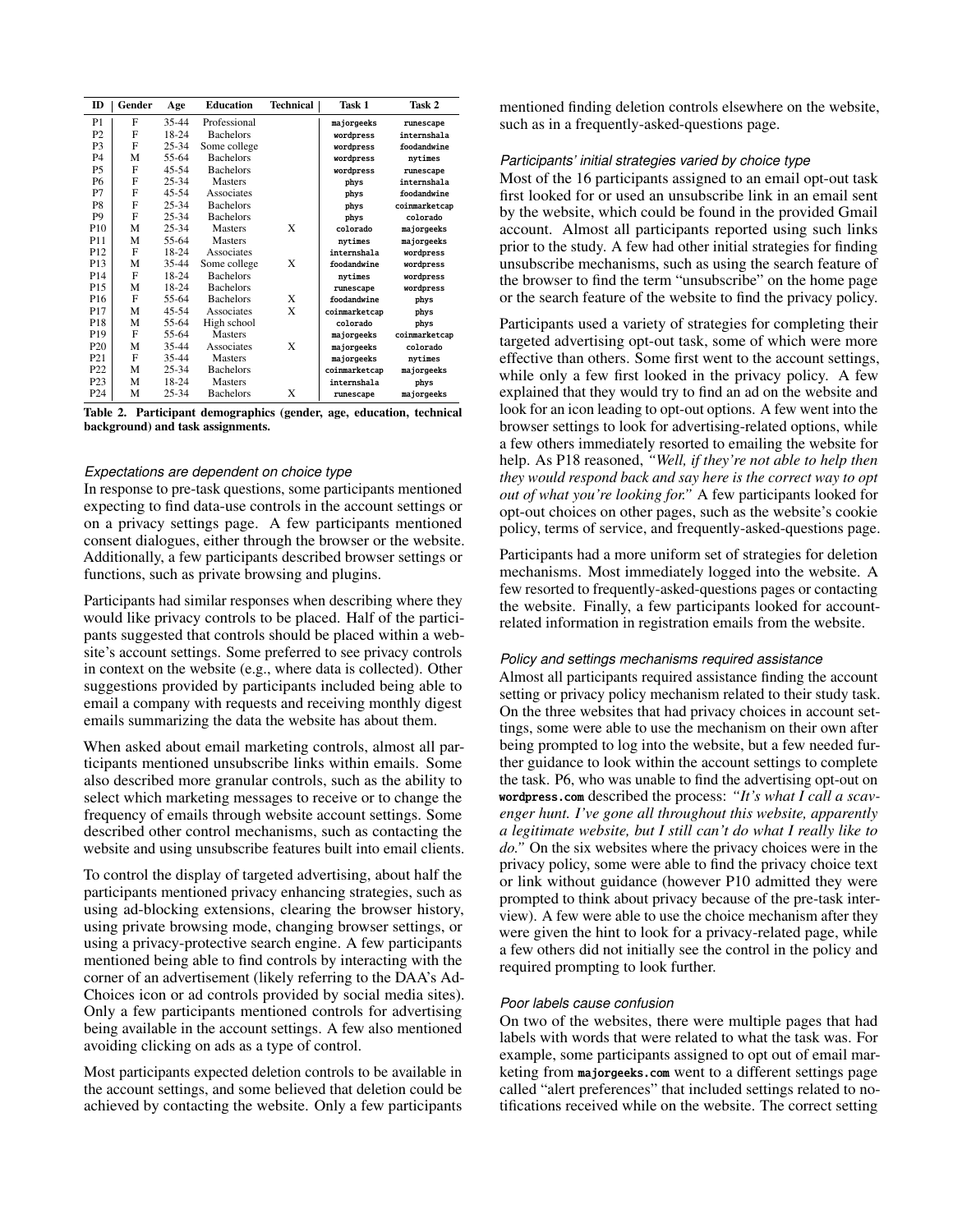| ID              | Gender | Age       | <b>Education</b> | Technical | Task 1        | Task 2        |
|-----------------|--------|-----------|------------------|-----------|---------------|---------------|
| P <sub>1</sub>  | F      | 35-44     | Professional     |           | majorgeeks    | runescape     |
| P <sub>2</sub>  | F      | 18-24     | <b>Bachelors</b> |           | wordpress     | internshala   |
| P <sub>3</sub>  | F      | $25 - 34$ | Some college     |           | wordpress     | foodandwine   |
| P <sub>4</sub>  | M      | 55-64     | <b>Bachelors</b> |           | wordpress     | nvtimes       |
| P5              | F      | $45 - 54$ | <b>Bachelors</b> |           | wordpress     | runescape     |
| P <sub>6</sub>  | F      | $25 - 34$ | Masters          |           | phys          | internshala   |
| P7              | F      | $45 - 54$ | Associates       |           | phys          | foodandwine   |
| P8              | F      | $25 - 34$ | <b>Bachelors</b> |           | phys          | coinmarketcap |
| P <sub>9</sub>  | F      | $25 - 34$ | <b>Bachelors</b> |           | phys          | colorado      |
| P <sub>10</sub> | M      | $25 - 34$ | <b>Masters</b>   | X         | colorado      | majorgeeks    |
| P11             | M      | 55-64     | Masters          |           | nvtimes       | majorgeeks    |
| P12             | F      | 18-24     | Associates       |           | internshala   | wordpress     |
| P <sub>13</sub> | M      | 35-44     | Some college     | X         | foodandwine   | wordpress     |
| P <sub>14</sub> | F      | 18-24     | <b>Bachelors</b> |           | nytimes       | wordpress     |
| P15             | M      | 18-24     | <b>Bachelors</b> |           | runescape     | wordpress     |
| P <sub>16</sub> | F      | 55-64     | <b>Bachelors</b> | X         | foodandwine   | phys          |
| P17             | M      | $45 - 54$ | Associates       | X         | coinmarketcap | phys          |
| P18             | M      | 55-64     | High school      |           | colorado      | phys          |
| P19             | F      | 55-64     | <b>Masters</b>   |           | majorgeeks    | coinmarketcap |
| P <sub>20</sub> | M      | 35-44     | Associates       | X         | majorgeeks    | colorado      |
| P <sub>21</sub> | F      | 35-44     | Masters          |           | majorgeeks    | nytimes       |
| P22             | M      | $25 - 34$ | <b>Bachelors</b> |           | coinmarketcap | majorgeeks    |
| P <sub>23</sub> | M      | 18-24     | <b>Masters</b>   |           | internshala   | phys          |
| P <sub>24</sub> | M      | $25 - 34$ | <b>Bachelors</b> | X         | runescape     | majorgeeks    |

<span id="page-5-0"></span>Table 2. Participant demographics (gender, age, education, technical background) and task assignments.

#### *Expectations are dependent on choice type*

In response to pre-task questions, some participants mentioned expecting to find data-use controls in the account settings or on a privacy settings page. A few participants mentioned consent dialogues, either through the browser or the website. Additionally, a few participants described browser settings or functions, such as private browsing and plugins.

Participants had similar responses when describing where they would like privacy controls to be placed. Half of the participants suggested that controls should be placed within a website's account settings. Some preferred to see privacy controls in context on the website (e.g., where data is collected). Other suggestions provided by participants included being able to email a company with requests and receiving monthly digest emails summarizing the data the website has about them.

When asked about email marketing controls, almost all participants mentioned unsubscribe links within emails. Some also described more granular controls, such as the ability to select which marketing messages to receive or to change the frequency of emails through website account settings. Some described other control mechanisms, such as contacting the website and using unsubscribe features built into email clients.

To control the display of targeted advertising, about half the participants mentioned privacy enhancing strategies, such as using ad-blocking extensions, clearing the browser history, using private browsing mode, changing browser settings, or using a privacy-protective search engine. A few participants mentioned being able to find controls by interacting with the corner of an advertisement (likely referring to the DAA's Ad-Choices icon or ad controls provided by social media sites). Only a few participants mentioned controls for advertising being available in the account settings. A few also mentioned avoiding clicking on ads as a type of control.

Most participants expected deletion controls to be available in the account settings, and some believed that deletion could be achieved by contacting the website. Only a few participants mentioned finding deletion controls elsewhere on the website, such as in a frequently-asked-questions page.

#### *Participants' initial strategies varied by choice type*

Most of the 16 participants assigned to an email opt-out task first looked for or used an unsubscribe link in an email sent by the website, which could be found in the provided Gmail account. Almost all participants reported using such links prior to the study. A few had other initial strategies for finding unsubscribe mechanisms, such as using the search feature of the browser to find the term "unsubscribe" on the home page or the search feature of the website to find the privacy policy.

Participants used a variety of strategies for completing their targeted advertising opt-out task, some of which were more effective than others. Some first went to the account settings, while only a few first looked in the privacy policy. A few explained that they would try to find an ad on the website and look for an icon leading to opt-out options. A few went into the browser settings to look for advertising-related options, while a few others immediately resorted to emailing the website for help. As P18 reasoned, *"Well, if they're not able to help then they would respond back and say here is the correct way to opt out of what you're looking for."* A few participants looked for opt-out choices on other pages, such as the website's cookie policy, terms of service, and frequently-asked-questions page.

Participants had a more uniform set of strategies for deletion mechanisms. Most immediately logged into the website. A few resorted to frequently-asked-questions pages or contacting the website. Finally, a few participants looked for accountrelated information in registration emails from the website.

#### *Policy and settings mechanisms required assistance*

Almost all participants required assistance finding the account setting or privacy policy mechanism related to their study task. On the three websites that had privacy choices in account settings, some were able to use the mechanism on their own after being prompted to log into the website, but a few needed further guidance to look within the account settings to complete the task. P6, who was unable to find the advertising opt-out on <wordpress.com> described the process: *"It's what I call a scavenger hunt. I've gone all throughout this website, apparently a legitimate website, but I still can't do what I really like to do."* On the six websites where the privacy choices were in the privacy policy, some were able to find the privacy choice text or link without guidance (however P10 admitted they were prompted to think about privacy because of the pre-task interview). A few were able to use the choice mechanism after they were given the hint to look for a privacy-related page, while a few others did not initially see the control in the policy and required prompting to look further.

# *Poor labels cause confusion*

On two of the websites, there were multiple pages that had labels with words that were related to what the task was. For example, some participants assigned to opt out of email marketing from <majorgeeks.com> went to a different settings page called "alert preferences" that included settings related to notifications received while on the website. The correct setting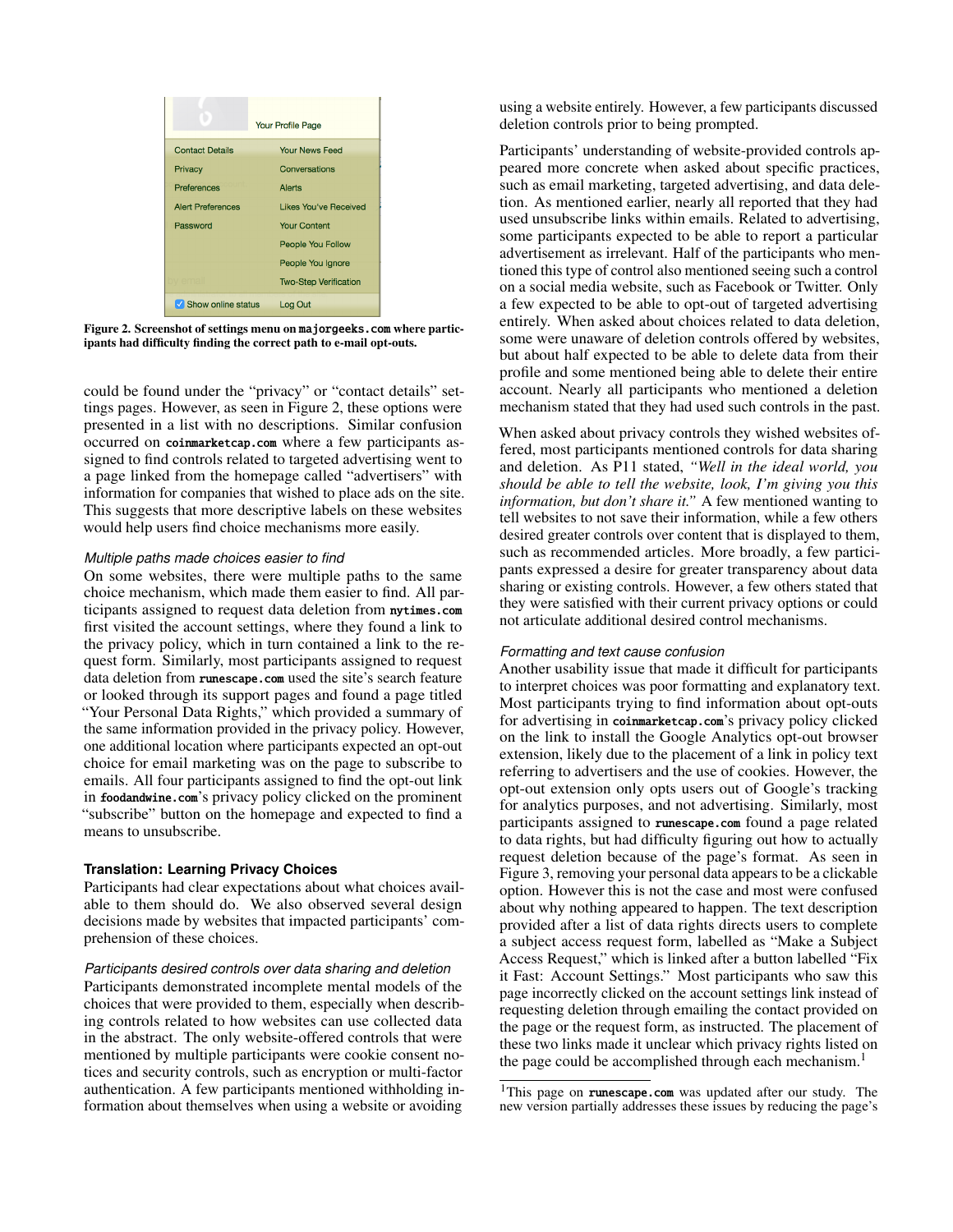|                          | <b>Your Profile Page</b>     |
|--------------------------|------------------------------|
| <b>Contact Details</b>   | <b>Your News Feed</b>        |
| Privacy                  | Conversations                |
| <b>Preferences</b>       | Alerts                       |
| <b>Alert Preferences</b> | Likes You've Received        |
| Password                 | <b>Your Content</b>          |
|                          | People You Follow            |
|                          | People You Ignore            |
|                          | <b>Two-Step Verification</b> |
| Show online status       | Log Out                      |

<span id="page-6-0"></span>Figure 2. Screenshot of settings menu on <majorgeeks.com> where participants had difficulty finding the correct path to e-mail opt-outs.

could be found under the "privacy" or "contact details" settings pages. However, as seen in Figure [2,](#page-6-0) these options were presented in a list with no descriptions. Similar confusion occurred on <coinmarketcap.com> where a few participants assigned to find controls related to targeted advertising went to a page linked from the homepage called "advertisers" with information for companies that wished to place ads on the site. This suggests that more descriptive labels on these websites would help users find choice mechanisms more easily.

## *Multiple paths made choices easier to find*

On some websites, there were multiple paths to the same choice mechanism, which made them easier to find. All participants assigned to request data deletion from <nytimes.com> first visited the account settings, where they found a link to the privacy policy, which in turn contained a link to the request form. Similarly, most participants assigned to request data deletion from <runescape.com> used the site's search feature or looked through its support pages and found a page titled "Your Personal Data Rights," which provided a summary of the same information provided in the privacy policy. However, one additional location where participants expected an opt-out choice for email marketing was on the page to subscribe to emails. All four participants assigned to find the opt-out link in <foodandwine.com>'s privacy policy clicked on the prominent "subscribe" button on the homepage and expected to find a means to unsubscribe.

#### **Translation: Learning Privacy Choices**

Participants had clear expectations about what choices available to them should do. We also observed several design decisions made by websites that impacted participants' comprehension of these choices.

#### *Participants desired controls over data sharing and deletion*

Participants demonstrated incomplete mental models of the choices that were provided to them, especially when describing controls related to how websites can use collected data in the abstract. The only website-offered controls that were mentioned by multiple participants were cookie consent notices and security controls, such as encryption or multi-factor authentication. A few participants mentioned withholding information about themselves when using a website or avoiding

using a website entirely. However, a few participants discussed deletion controls prior to being prompted.

Participants' understanding of website-provided controls appeared more concrete when asked about specific practices, such as email marketing, targeted advertising, and data deletion. As mentioned earlier, nearly all reported that they had used unsubscribe links within emails. Related to advertising, some participants expected to be able to report a particular advertisement as irrelevant. Half of the participants who mentioned this type of control also mentioned seeing such a control on a social media website, such as Facebook or Twitter. Only a few expected to be able to opt-out of targeted advertising entirely. When asked about choices related to data deletion, some were unaware of deletion controls offered by websites, but about half expected to be able to delete data from their profile and some mentioned being able to delete their entire account. Nearly all participants who mentioned a deletion mechanism stated that they had used such controls in the past.

When asked about privacy controls they wished websites offered, most participants mentioned controls for data sharing and deletion. As P11 stated, *"Well in the ideal world, you should be able to tell the website, look, I'm giving you this information, but don't share it."* A few mentioned wanting to tell websites to not save their information, while a few others desired greater controls over content that is displayed to them, such as recommended articles. More broadly, a few participants expressed a desire for greater transparency about data sharing or existing controls. However, a few others stated that they were satisfied with their current privacy options or could not articulate additional desired control mechanisms.

#### *Formatting and text cause confusion*

Another usability issue that made it difficult for participants to interpret choices was poor formatting and explanatory text. Most participants trying to find information about opt-outs for advertising in <coinmarketcap.com>'s privacy policy clicked on the link to install the Google Analytics opt-out browser extension, likely due to the placement of a link in policy text referring to advertisers and the use of cookies. However, the opt-out extension only opts users out of Google's tracking for analytics purposes, and not advertising. Similarly, most participants assigned to <runescape.com> found a page related to data rights, but had difficulty figuring out how to actually request deletion because of the page's format. As seen in Figure [3,](#page-7-0) removing your personal data appears to be a clickable option. However this is not the case and most were confused about why nothing appeared to happen. The text description provided after a list of data rights directs users to complete a subject access request form, labelled as "Make a Subject Access Request," which is linked after a button labelled "Fix it Fast: Account Settings." Most participants who saw this page incorrectly clicked on the account settings link instead of requesting deletion through emailing the contact provided on the page or the request form, as instructed. The placement of these two links made it unclear which privacy rights listed on the page could be accomplished through each mechanism.<sup>[1](#page-6-1)</sup>

<span id="page-6-1"></span><sup>&</sup>lt;sup>1</sup>This page on **<runescape.com>** was updated after our study. The new version partially addresses these issues by reducing the page's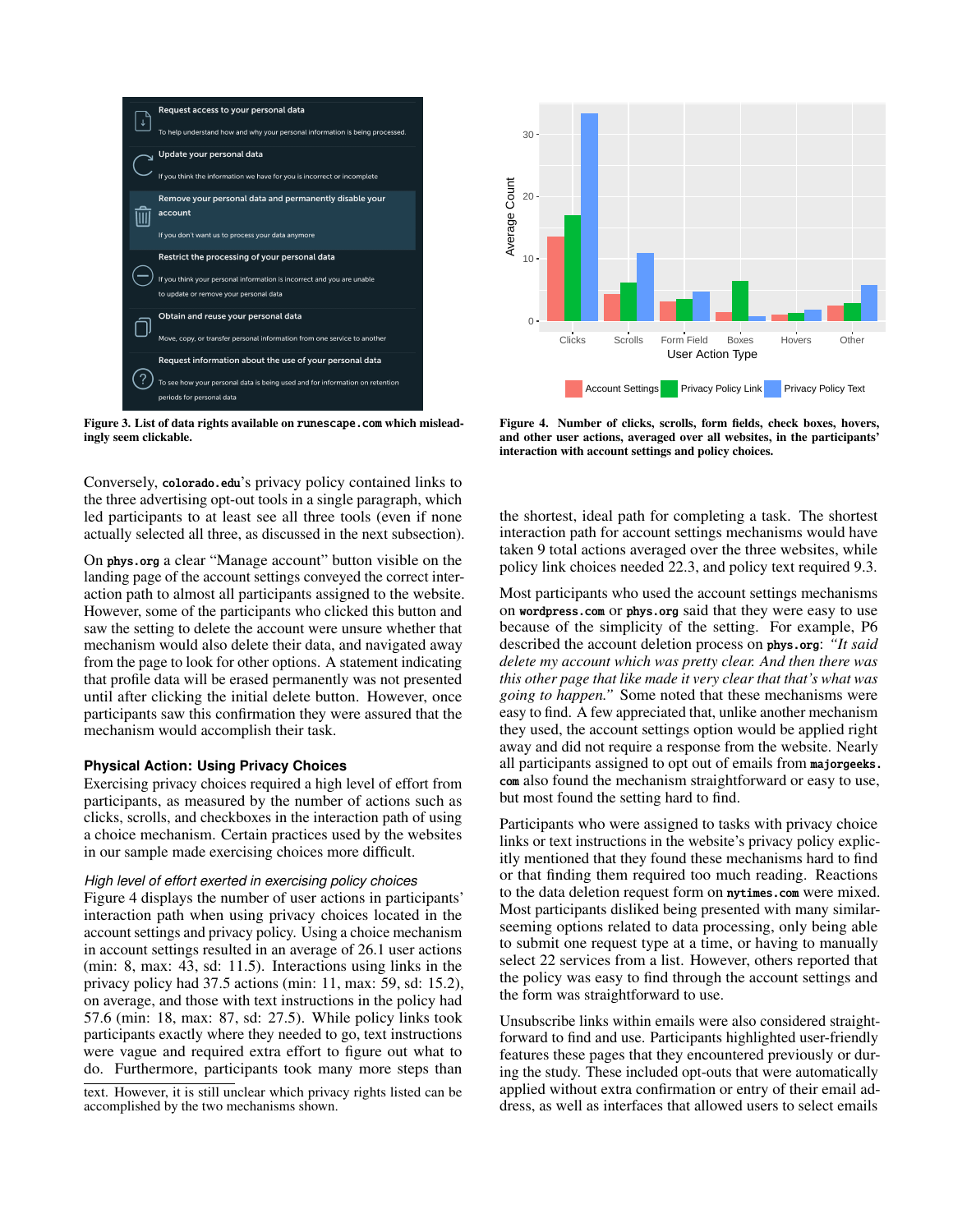

<span id="page-7-0"></span>Figure 3. List of data rights available on <runescape.com> which misleadingly seem clickable.

Conversely, <colorado.edu>'s privacy policy contained links to the three advertising opt-out tools in a single paragraph, which led participants to at least see all three tools (even if none actually selected all three, as discussed in the next subsection).

On <phys.org> a clear "Manage account" button visible on the landing page of the account settings conveyed the correct interaction path to almost all participants assigned to the website. However, some of the participants who clicked this button and saw the setting to delete the account were unsure whether that mechanism would also delete their data, and navigated away from the page to look for other options. A statement indicating that profile data will be erased permanently was not presented until after clicking the initial delete button. However, once participants saw this confirmation they were assured that the mechanism would accomplish their task. **Exercising the state of the two mechanisms shown in the two mechanisms shown and a mechanism of the two metanon of the two metanon of the two metanon of the two metanon of the two metanon of the two metanon of the state o** 

#### **Physical Action: Using Privacy Choices**

Exercising privacy choices required a high level of effort from participants, as measured by the number of actions such as clicks, scrolls, and checkboxes in the interaction path of using a choice mechanism. Certain practices used by the websites in our sample made exercising choices more difficult.

## *High level of effort exerted in exercising policy choices*

Figure [4](#page-7-1) displays the number of user actions in participants' interaction path when using privacy choices located in the account settings and privacy policy. Using a choice mechanism in account settings resulted in an average of 26.1 user actions (min: 8, max: 43, sd: 11.5). Interactions using links in the privacy policy had 37.5 actions (min: 11, max: 59, sd: 15.2), on average, and those with text instructions in the policy had 57.6 (min: 18, max: 87, sd: 27.5). While policy links took participants exactly where they needed to go, text instructions were vague and required extra effort to figure out what to do. Furthermore, participants took many more steps than

text. However, it is still unclear which privacy rights listed can be



<span id="page-7-1"></span>Figure 4. Number of clicks, scrolls, form fields, check boxes, hovers, and other user actions, averaged over all websites, in the participants' interaction with account settings and policy choices.

the shortest, ideal path for completing a task. The shortest interaction path for account settings mechanisms would have taken 9 total actions averaged over the three websites, while policy link choices needed 22.3, and policy text required 9.3.

Most participants who used the account settings mechanisms on <wordpress.com> or <phys.org> said that they were easy to use because of the simplicity of the setting. For example, P6 described the account deletion process on <phys.org>: *"It said delete my account which was pretty clear. And then there was this other page that like made it very clear that that's what was going to happen."* Some noted that these mechanisms were easy to find. A few appreciated that, unlike another mechanism they used, the account settings option would be applied right away and did not require a response from the website. Nearly all participants assigned to opt out of emails from [majorgeeks.](majorgeeks.com) [com](majorgeeks.com) also found the mechanism straightforward or easy to use, but most found the setting hard to find.

Participants who were assigned to tasks with privacy choice links or text instructions in the website's privacy policy explicitly mentioned that they found these mechanisms hard to find or that finding them required too much reading. Reactions to the data deletion request form on <nytimes.com> were mixed. Most participants disliked being presented with many similarseeming options related to data processing, only being able to submit one request type at a time, or having to manually select 22 services from a list. However, others reported that the policy was easy to find through the account settings and the form was straightforward to use.

Unsubscribe links within emails were also considered straightforward to find and use. Participants highlighted user-friendly features these pages that they encountered previously or during the study. These included opt-outs that were automatically applied without extra confirmation or entry of their email address, as well as interfaces that allowed users to select emails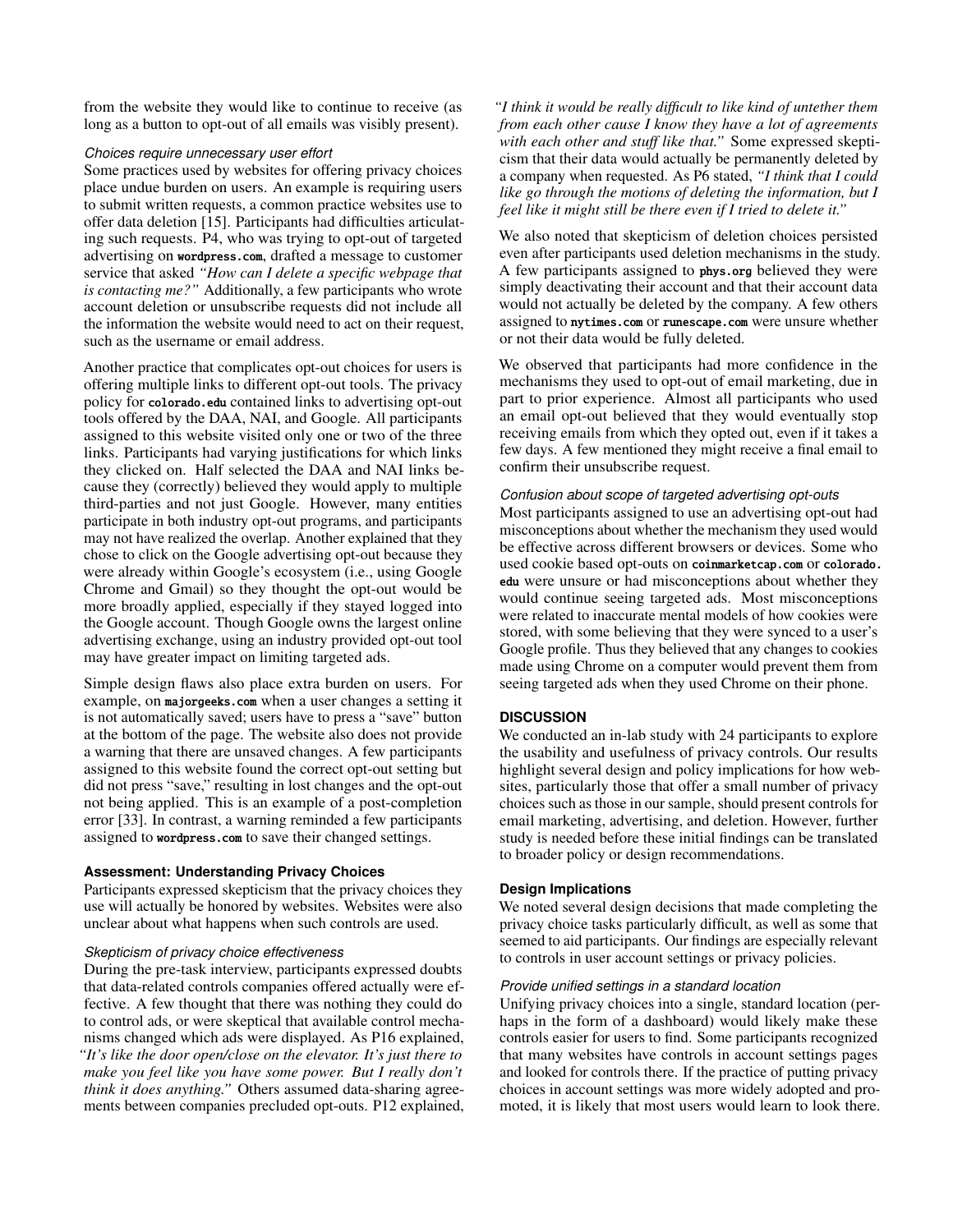from the website they would like to continue to receive (as long as a button to opt-out of all emails was visibly present).

## *Choices require unnecessary user effort*

Some practices used by websites for offering privacy choices place undue burden on users. An example is requiring users to submit written requests, a common practice websites use to offer data deletion [\[15\]](#page-10-2). Participants had difficulties articulating such requests. P4, who was trying to opt-out of targeted advertising on <wordpress.com>, drafted a message to customer service that asked *"How can I delete a specific webpage that is contacting me?"* Additionally, a few participants who wrote account deletion or unsubscribe requests did not include all the information the website would need to act on their request, such as the username or email address.

Another practice that complicates opt-out choices for users is offering multiple links to different opt-out tools. The privacy policy for <colorado.edu> contained links to advertising opt-out tools offered by the DAA, NAI, and Google. All participants assigned to this website visited only one or two of the three links. Participants had varying justifications for which links they clicked on. Half selected the DAA and NAI links because they (correctly) believed they would apply to multiple third-parties and not just Google. However, many entities participate in both industry opt-out programs, and participants may not have realized the overlap. Another explained that they chose to click on the Google advertising opt-out because they were already within Google's ecosystem (i.e., using Google Chrome and Gmail) so they thought the opt-out would be more broadly applied, especially if they stayed logged into the Google account. Though Google owns the largest online advertising exchange, using an industry provided opt-out tool may have greater impact on limiting targeted ads.

Simple design flaws also place extra burden on users. For example, on <majorgeeks.com> when a user changes a setting it is not automatically saved; users have to press a "save" button at the bottom of the page. The website also does not provide a warning that there are unsaved changes. A few participants assigned to this website found the correct opt-out setting but did not press "save," resulting in lost changes and the opt-out not being applied. This is an example of a post-completion error [\[33\]](#page-11-19). In contrast, a warning reminded a few participants assigned to <wordpress.com> to save their changed settings.

# **Assessment: Understanding Privacy Choices**

Participants expressed skepticism that the privacy choices they use will actually be honored by websites. Websites were also unclear about what happens when such controls are used.

# *Skepticism of privacy choice effectiveness*

During the pre-task interview, participants expressed doubts that data-related controls companies offered actually were effective. A few thought that there was nothing they could do to control ads, or were skeptical that available control mechanisms changed which ads were displayed. As P16 explained, *"It's like the door open/close on the elevator. It's just there to make you feel like you have some power. But I really don't think it does anything."* Others assumed data-sharing agreements between companies precluded opt-outs. P12 explained, *"I think it would be really difficult to like kind of untether them from each other cause I know they have a lot of agreements with each other and stuff like that."* Some expressed skepticism that their data would actually be permanently deleted by a company when requested. As P6 stated, *"I think that I could like go through the motions of deleting the information, but I feel like it might still be there even if I tried to delete it."*

We also noted that skepticism of deletion choices persisted even after participants used deletion mechanisms in the study. A few participants assigned to <phys.org> believed they were simply deactivating their account and that their account data would not actually be deleted by the company. A few others assigned to <nytimes.com> or <runescape.com> were unsure whether or not their data would be fully deleted.

We observed that participants had more confidence in the mechanisms they used to opt-out of email marketing, due in part to prior experience. Almost all participants who used an email opt-out believed that they would eventually stop receiving emails from which they opted out, even if it takes a few days. A few mentioned they might receive a final email to confirm their unsubscribe request.

## *Confusion about scope of targeted advertising opt-outs*

Most participants assigned to use an advertising opt-out had misconceptions about whether the mechanism they used would be effective across different browsers or devices. Some who used cookie based opt-outs on <coinmarketcap.com> or [colorado.](colorado.edu) [edu](colorado.edu) were unsure or had misconceptions about whether they would continue seeing targeted ads. Most misconceptions were related to inaccurate mental models of how cookies were stored, with some believing that they were synced to a user's Google profile. Thus they believed that any changes to cookies made using Chrome on a computer would prevent them from seeing targeted ads when they used Chrome on their phone.

# **DISCUSSION**

We conducted an in-lab study with 24 participants to explore the usability and usefulness of privacy controls. Our results highlight several design and policy implications for how websites, particularly those that offer a small number of privacy choices such as those in our sample, should present controls for email marketing, advertising, and deletion. However, further study is needed before these initial findings can be translated to broader policy or design recommendations.

# **Design Implications**

We noted several design decisions that made completing the privacy choice tasks particularly difficult, as well as some that seemed to aid participants. Our findings are especially relevant to controls in user account settings or privacy policies.

#### *Provide unified settings in a standard location*

Unifying privacy choices into a single, standard location (perhaps in the form of a dashboard) would likely make these controls easier for users to find. Some participants recognized that many websites have controls in account settings pages and looked for controls there. If the practice of putting privacy choices in account settings was more widely adopted and promoted, it is likely that most users would learn to look there.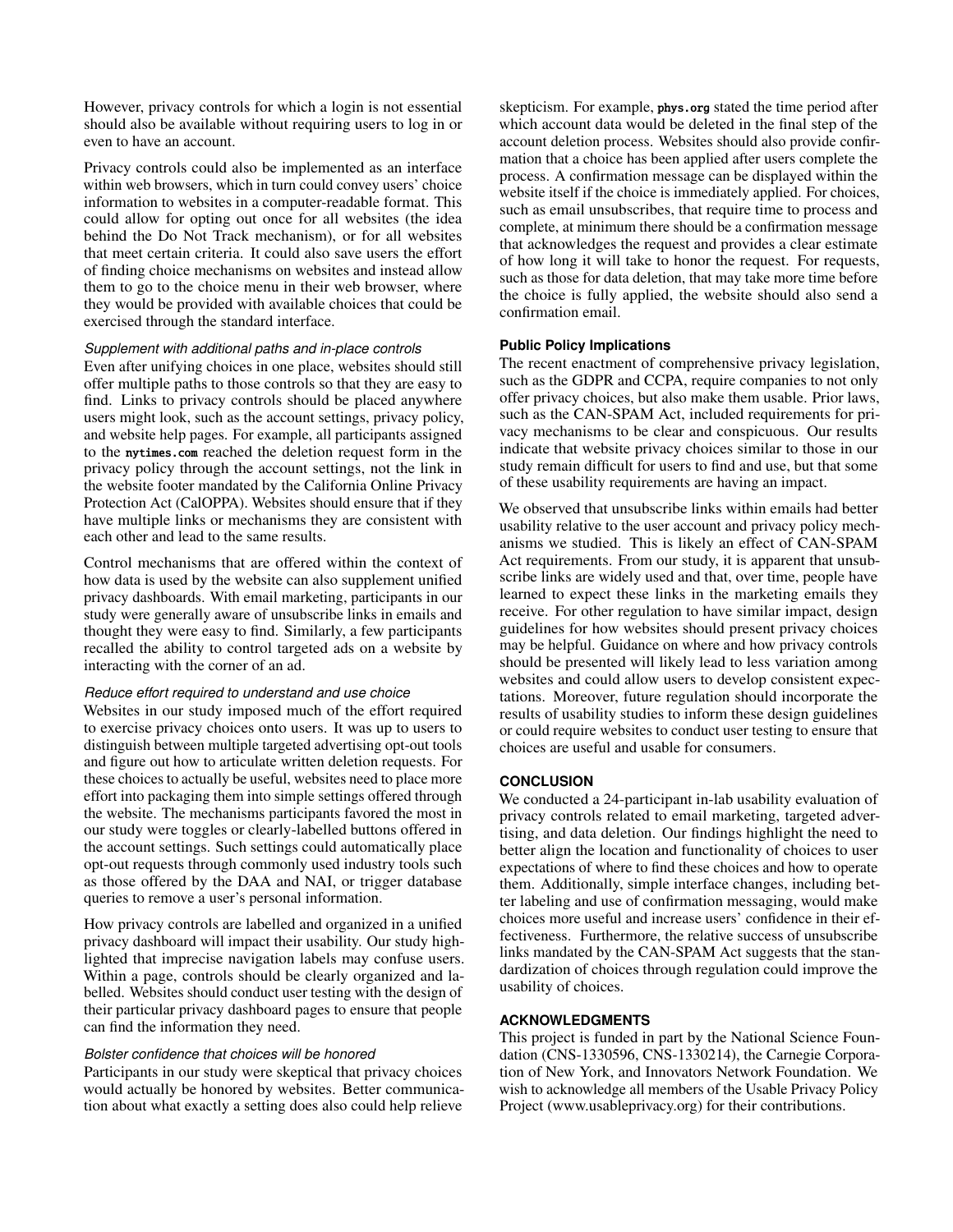However, privacy controls for which a login is not essential should also be available without requiring users to log in or even to have an account.

Privacy controls could also be implemented as an interface within web browsers, which in turn could convey users' choice information to websites in a computer-readable format. This could allow for opting out once for all websites (the idea behind the Do Not Track mechanism), or for all websites that meet certain criteria. It could also save users the effort of finding choice mechanisms on websites and instead allow them to go to the choice menu in their web browser, where they would be provided with available choices that could be exercised through the standard interface.

#### *Supplement with additional paths and in-place controls*

Even after unifying choices in one place, websites should still offer multiple paths to those controls so that they are easy to find. Links to privacy controls should be placed anywhere users might look, such as the account settings, privacy policy, and website help pages. For example, all participants assigned to the <nytimes.com> reached the deletion request form in the privacy policy through the account settings, not the link in the website footer mandated by the California Online Privacy Protection Act (CalOPPA). Websites should ensure that if they have multiple links or mechanisms they are consistent with each other and lead to the same results.

Control mechanisms that are offered within the context of how data is used by the website can also supplement unified privacy dashboards. With email marketing, participants in our study were generally aware of unsubscribe links in emails and thought they were easy to find. Similarly, a few participants recalled the ability to control targeted ads on a website by interacting with the corner of an ad.

# *Reduce effort required to understand and use choice*

Websites in our study imposed much of the effort required to exercise privacy choices onto users. It was up to users to distinguish between multiple targeted advertising opt-out tools and figure out how to articulate written deletion requests. For these choices to actually be useful, websites need to place more effort into packaging them into simple settings offered through the website. The mechanisms participants favored the most in our study were toggles or clearly-labelled buttons offered in the account settings. Such settings could automatically place opt-out requests through commonly used industry tools such as those offered by the DAA and NAI, or trigger database queries to remove a user's personal information.

How privacy controls are labelled and organized in a unified privacy dashboard will impact their usability. Our study highlighted that imprecise navigation labels may confuse users. Within a page, controls should be clearly organized and labelled. Websites should conduct user testing with the design of their particular privacy dashboard pages to ensure that people can find the information they need.

#### *Bolster confidence that choices will be honored*

Participants in our study were skeptical that privacy choices would actually be honored by websites. Better communication about what exactly a setting does also could help relieve

skepticism. For example, <phys.org> stated the time period after which account data would be deleted in the final step of the account deletion process. Websites should also provide confirmation that a choice has been applied after users complete the process. A confirmation message can be displayed within the website itself if the choice is immediately applied. For choices, such as email unsubscribes, that require time to process and complete, at minimum there should be a confirmation message that acknowledges the request and provides a clear estimate of how long it will take to honor the request. For requests, such as those for data deletion, that may take more time before the choice is fully applied, the website should also send a confirmation email.

# **Public Policy Implications**

The recent enactment of comprehensive privacy legislation, such as the GDPR and CCPA, require companies to not only offer privacy choices, but also make them usable. Prior laws, such as the CAN-SPAM Act, included requirements for privacy mechanisms to be clear and conspicuous. Our results indicate that website privacy choices similar to those in our study remain difficult for users to find and use, but that some of these usability requirements are having an impact.

We observed that unsubscribe links within emails had better usability relative to the user account and privacy policy mechanisms we studied. This is likely an effect of CAN-SPAM Act requirements. From our study, it is apparent that unsubscribe links are widely used and that, over time, people have learned to expect these links in the marketing emails they receive. For other regulation to have similar impact, design guidelines for how websites should present privacy choices may be helpful. Guidance on where and how privacy controls should be presented will likely lead to less variation among websites and could allow users to develop consistent expectations. Moreover, future regulation should incorporate the results of usability studies to inform these design guidelines or could require websites to conduct user testing to ensure that choices are useful and usable for consumers.

# **CONCLUSION**

We conducted a 24-participant in-lab usability evaluation of privacy controls related to email marketing, targeted advertising, and data deletion. Our findings highlight the need to better align the location and functionality of choices to user expectations of where to find these choices and how to operate them. Additionally, simple interface changes, including better labeling and use of confirmation messaging, would make choices more useful and increase users' confidence in their effectiveness. Furthermore, the relative success of unsubscribe links mandated by the CAN-SPAM Act suggests that the standardization of choices through regulation could improve the usability of choices.

# **ACKNOWLEDGMENTS**

This project is funded in part by the National Science Foundation (CNS-1330596, CNS-1330214), the Carnegie Corporation of New York, and Innovators Network Foundation. We wish to acknowledge all members of the Usable Privacy Policy Project (www.usableprivacy.org) for their contributions.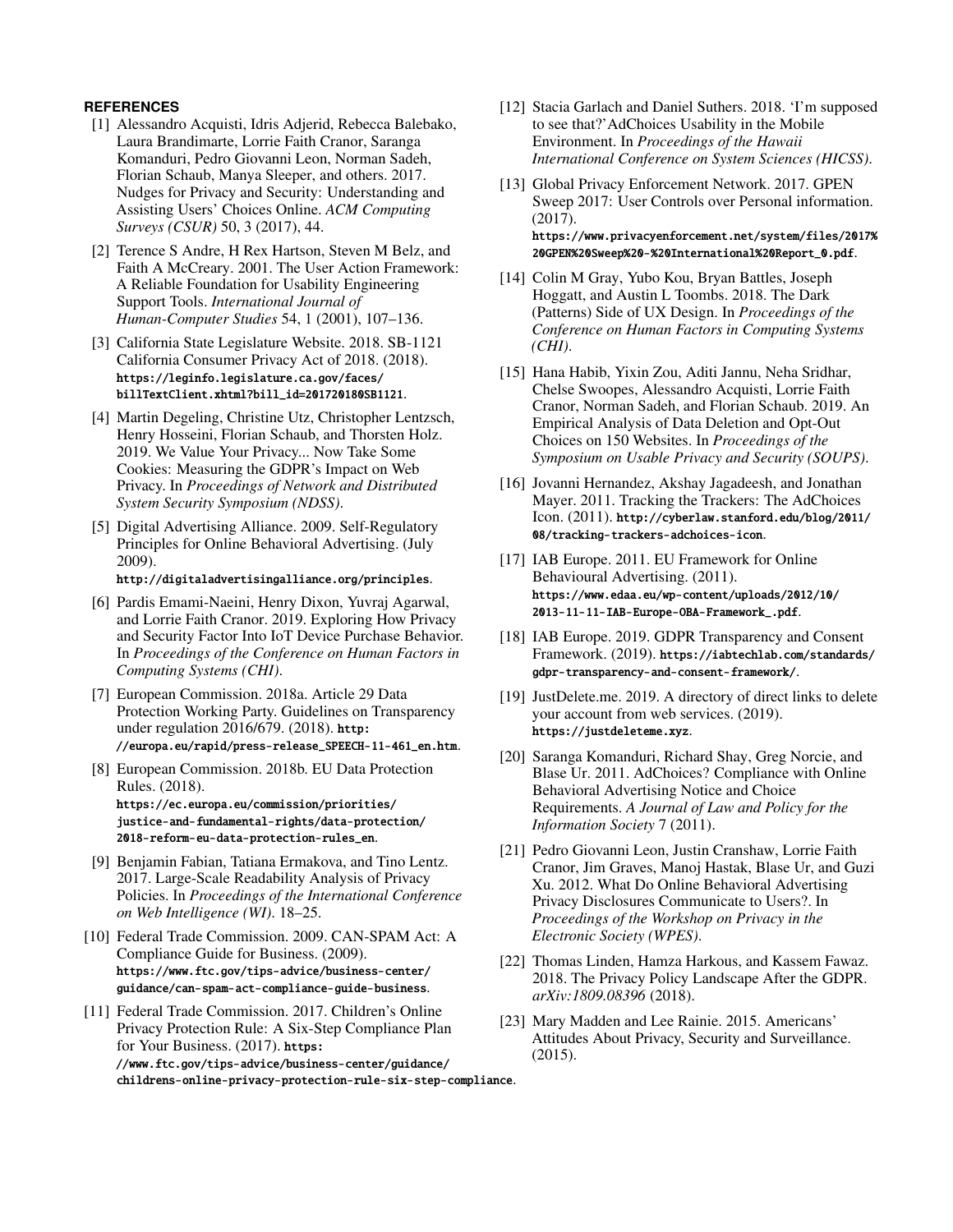# <span id="page-10-13"></span>**REFERENCES**

- [1] Alessandro Acquisti, Idris Adjerid, Rebecca Balebako, Laura Brandimarte, Lorrie Faith Cranor, Saranga Komanduri, Pedro Giovanni Leon, Norman Sadeh, Florian Schaub, Manya Sleeper, and others. 2017. Nudges for Privacy and Security: Understanding and Assisting Users' Choices Online. *ACM Computing Surveys (CSUR)* 50, 3 (2017), 44.
- <span id="page-10-21"></span>[2] Terence S Andre, H Rex Hartson, Steven M Belz, and Faith A McCreary. 2001. The User Action Framework: A Reliable Foundation for Usability Engineering Support Tools. *International Journal of Human-Computer Studies* 54, 1 (2001), 107–136.
- <span id="page-10-0"></span>[3] California State Legislature Website. 2018. SB-1121 California Consumer Privacy Act of 2018. (2018). [https://leginfo.legislature.ca.gov/faces/](https://leginfo.legislature.ca.gov/faces/billTextClient.xhtml?bill_id=201720180SB1121) [billTextClient.xhtml?bill\\_id=201720180SB1121](https://leginfo.legislature.ca.gov/faces/billTextClient.xhtml?bill_id=201720180SB1121).
- <span id="page-10-5"></span>[4] Martin Degeling, Christine Utz, Christopher Lentzsch, Henry Hosseini, Florian Schaub, and Thorsten Holz. 2019. We Value Your Privacy... Now Take Some Cookies: Measuring the GDPR's Impact on Web Privacy. In *Proceedings of Network and Distributed System Security Symposium (NDSS)*.
- <span id="page-10-9"></span>[5] Digital Advertising Alliance. 2009. Self-Regulatory Principles for Online Behavioral Advertising. (July 2009).

<http://digitaladvertisingalliance.org/principles>.

- <span id="page-10-22"></span>[6] Pardis Emami-Naeini, Henry Dixon, Yuvraj Agarwal, and Lorrie Faith Cranor. 2019. Exploring How Privacy and Security Factor Into IoT Device Purchase Behavior. In *Proceedings of the Conference on Human Factors in Computing Systems (CHI)*.
- <span id="page-10-1"></span>[7] European Commission. 2018a. Article 29 Data Protection Working Party. Guidelines on Transparency under regulation 2016/679. (2018). [http:](http://europa.eu/rapid/press-release_SPEECH-11-461_en.htm) [//europa.eu/rapid/press-release\\_SPEECH-11-461\\_en.htm](http://europa.eu/rapid/press-release_SPEECH-11-461_en.htm).
- <span id="page-10-6"></span>[8] European Commission. 2018b. EU Data Protection Rules. (2018). [https://ec.europa.eu/commission/priorities/](https://ec.europa.eu/commission/priorities/justice-and-fundamental-rights/data-protection/2018-reform-eu-data-protection-rules_en) [justice-and-fundamental-rights/data-protection/](https://ec.europa.eu/commission/priorities/justice-and-fundamental-rights/data-protection/2018-reform-eu-data-protection-rules_en) [2018-reform-eu-data-protection-rules\\_en](https://ec.europa.eu/commission/priorities/justice-and-fundamental-rights/data-protection/2018-reform-eu-data-protection-rules_en).
- <span id="page-10-12"></span>[9] Benjamin Fabian, Tatiana Ermakova, and Tino Lentz. 2017. Large-Scale Readability Analysis of Privacy Policies. In *Proceedings of the International Conference on Web Intelligence (WI)*. 18–25.
- <span id="page-10-7"></span>[10] Federal Trade Commission. 2009. CAN-SPAM Act: A Compliance Guide for Business. (2009). [https://www.ftc.gov/tips-advice/business-center/](https://www.ftc.gov/tips-advice/business-center/guidance/can-spam-act-compliance-guide-business) [guidance/can-spam-act-compliance-guide-business](https://www.ftc.gov/tips-advice/business-center/guidance/can-spam-act-compliance-guide-business).
- <span id="page-10-8"></span>[11] Federal Trade Commission. 2017. Children's Online Privacy Protection Rule: A Six-Step Compliance Plan for Your Business. (2017). [https:](https://www.ftc.gov/tips-advice/business-center/guidance/childrens-online-privacy-protection-rule-six-step-compliance) [//www.ftc.gov/tips-advice/business-center/guidance/](https://www.ftc.gov/tips-advice/business-center/guidance/childrens-online-privacy-protection-rule-six-step-compliance) [childrens-online-privacy-protection-rule-six-step-compliance](https://www.ftc.gov/tips-advice/business-center/guidance/childrens-online-privacy-protection-rule-six-step-compliance).
- <span id="page-10-3"></span>[12] Stacia Garlach and Daniel Suthers. 2018. 'I'm supposed to see that?'AdChoices Usability in the Mobile Environment. In *Proceedings of the Hawaii International Conference on System Sciences (HICSS)*.
- <span id="page-10-14"></span>[13] Global Privacy Enforcement Network. 2017. GPEN Sweep 2017: User Controls over Personal information. (2017). [https://www.privacyenforcement.net/system/files/2017%](https://www.privacyenforcement.net/system/files/2017%20GPEN%20Sweep%20-%20International%20Report_0.pdf) [20GPEN%20Sweep%20-%20International%20Report\\_0.pdf](https://www.privacyenforcement.net/system/files/2017%20GPEN%20Sweep%20-%20International%20Report_0.pdf).
- <span id="page-10-15"></span>[14] Colin M Gray, Yubo Kou, Bryan Battles, Joseph Hoggatt, and Austin L Toombs. 2018. The Dark (Patterns) Side of UX Design. In *Proceedings of the Conference on Human Factors in Computing Systems (CHI)*.
- <span id="page-10-2"></span>[15] Hana Habib, Yixin Zou, Aditi Jannu, Neha Sridhar, Chelse Swoopes, Alessandro Acquisti, Lorrie Faith Cranor, Norman Sadeh, and Florian Schaub. 2019. An Empirical Analysis of Data Deletion and Opt-Out Choices on 150 Websites. In *Proceedings of the Symposium on Usable Privacy and Security (SOUPS)*.
- <span id="page-10-17"></span>[16] Jovanni Hernandez, Akshay Jagadeesh, and Jonathan Mayer. 2011. Tracking the Trackers: The AdChoices Icon. (2011). [http://cyberlaw.stanford.edu/blog/2011/](http://cyberlaw.stanford.edu/blog/2011/08/tracking-trackers-adchoices-icon) [08/tracking-trackers-adchoices-icon](http://cyberlaw.stanford.edu/blog/2011/08/tracking-trackers-adchoices-icon).
- <span id="page-10-10"></span>[17] IAB Europe. 2011. EU Framework for Online Behavioural Advertising. (2011). [https://www.edaa.eu/wp-content/uploads/2012/10/](https://www.edaa.eu/wp-content/uploads/2012/10/2013-11-11-IAB-Europe-OBA-Framework_.pdf) [2013-11-11-IAB-Europe-OBA-Framework\\_.pdf](https://www.edaa.eu/wp-content/uploads/2012/10/2013-11-11-IAB-Europe-OBA-Framework_.pdf).
- <span id="page-10-11"></span>[18] IAB Europe. 2019. GDPR Transparency and Consent Framework. (2019). [https://iabtechlab.com/standards/](https://iabtechlab.com/standards/gdpr-transparency-and-consent-framework/) [gdpr-transparency-and-consent-framework/](https://iabtechlab.com/standards/gdpr-transparency-and-consent-framework/).
- <span id="page-10-19"></span>[19] JustDelete.me. 2019. A directory of direct links to delete your account from web services. (2019). <https://justdeleteme.xyz>.
- <span id="page-10-18"></span>[20] Saranga Komanduri, Richard Shay, Greg Norcie, and Blase Ur. 2011. AdChoices? Compliance with Online Behavioral Advertising Notice and Choice Requirements. *A Journal of Law and Policy for the Information Society* 7 (2011).
- <span id="page-10-4"></span>[21] Pedro Giovanni Leon, Justin Cranshaw, Lorrie Faith Cranor, Jim Graves, Manoj Hastak, Blase Ur, and Guzi Xu. 2012. What Do Online Behavioral Advertising Privacy Disclosures Communicate to Users?. In *Proceedings of the Workshop on Privacy in the Electronic Society (WPES)*.
- <span id="page-10-16"></span>[22] Thomas Linden, Hamza Harkous, and Kassem Fawaz. 2018. The Privacy Policy Landscape After the GDPR. *arXiv:1809.08396* (2018).
- <span id="page-10-20"></span>[23] Mary Madden and Lee Rainie. 2015. Americans' Attitudes About Privacy, Security and Surveillance. (2015).